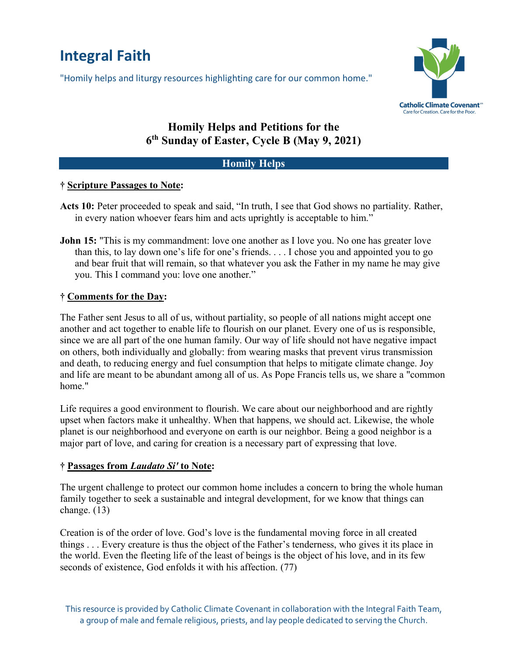# **Integral Faith**

"Homily helps and liturgy resources highlighting care for our common home."



## **Homily Helps and Petitions for the 6th Sunday of Easter, Cycle B (May 9, 2021)**

### **Homily Helps**

#### **† Scripture Passages to Note:**

- **Acts 10:** Peter proceeded to speak and said, "In truth, I see that God shows no partiality. Rather, in every nation whoever fears him and acts uprightly is acceptable to him."
- **John 15:** "This is my commandment: love one another as I love you. No one has greater love than this, to lay down one's life for one's friends. . . . I chose you and appointed you to go and bear fruit that will remain, so that whatever you ask the Father in my name he may give you. This I command you: love one another."

#### **† Comments for the Day:**

The Father sent Jesus to all of us, without partiality, so people of all nations might accept one another and act together to enable life to flourish on our planet. Every one of us is responsible, since we are all part of the one human family. Our way of life should not have negative impact on others, both individually and globally: from wearing masks that prevent virus transmission and death, to reducing energy and fuel consumption that helps to mitigate climate change. Joy and life are meant to be abundant among all of us. As Pope Francis tells us, we share a "common home."

Life requires a good environment to flourish. We care about our neighborhood and are rightly upset when factors make it unhealthy. When that happens, we should act. Likewise, the whole planet is our neighborhood and everyone on earth is our neighbor. Being a good neighbor is a major part of love, and caring for creation is a necessary part of expressing that love.

#### **† Passages from** *Laudato Si'* **to Note:**

The urgent challenge to protect our common home includes a concern to bring the whole human family together to seek a sustainable and integral development, for we know that things can change. (13)

Creation is of the order of love. God's love is the fundamental moving force in all created things . . . Every creature is thus the object of the Father's tenderness, who gives it its place in the world. Even the fleeting life of the least of beings is the object of his love, and in its few seconds of existence, God enfolds it with his affection. (77)